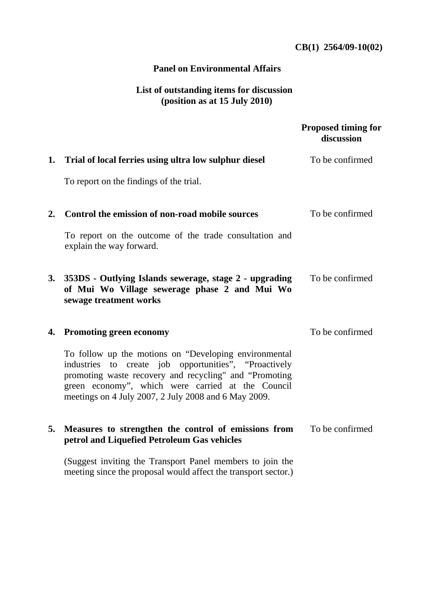## **CB(1) 2564/09-10(02)**

## **Panel on Environmental Affairs**

## **List of outstanding items for discussion (position as at 15 July 2010)**

|    |                                                                                                                                                                                                                                                                                       | <b>Proposed timing for</b><br>discussion |
|----|---------------------------------------------------------------------------------------------------------------------------------------------------------------------------------------------------------------------------------------------------------------------------------------|------------------------------------------|
|    | 1. Trial of local ferries using ultra low sulphur diesel                                                                                                                                                                                                                              | To be confirmed                          |
|    | To report on the findings of the trial.                                                                                                                                                                                                                                               |                                          |
| 2. | Control the emission of non-road mobile sources                                                                                                                                                                                                                                       | To be confirmed                          |
|    | To report on the outcome of the trade consultation and<br>explain the way forward.                                                                                                                                                                                                    |                                          |
| 3. | 353DS - Outlying Islands sewerage, stage 2 - upgrading<br>of Mui Wo Village sewerage phase 2 and Mui Wo<br>sewage treatment works                                                                                                                                                     | To be confirmed                          |
|    | 4. Promoting green economy                                                                                                                                                                                                                                                            | To be confirmed                          |
|    | To follow up the motions on "Developing environmental<br>industries to create job opportunities", "Proactively<br>promoting waste recovery and recycling" and "Promoting<br>green economy", which were carried at the Council<br>meetings on 4 July 2007, 2 July 2008 and 6 May 2009. |                                          |
| 5. | Measures to strengthen the control of emissions from<br>petrol and Liquefied Petroleum Gas vehicles                                                                                                                                                                                   | To be confirmed                          |
|    | (Suggest inviting the Transport Panel members to join the<br>meeting since the proposal would affect the transport sector.)                                                                                                                                                           |                                          |